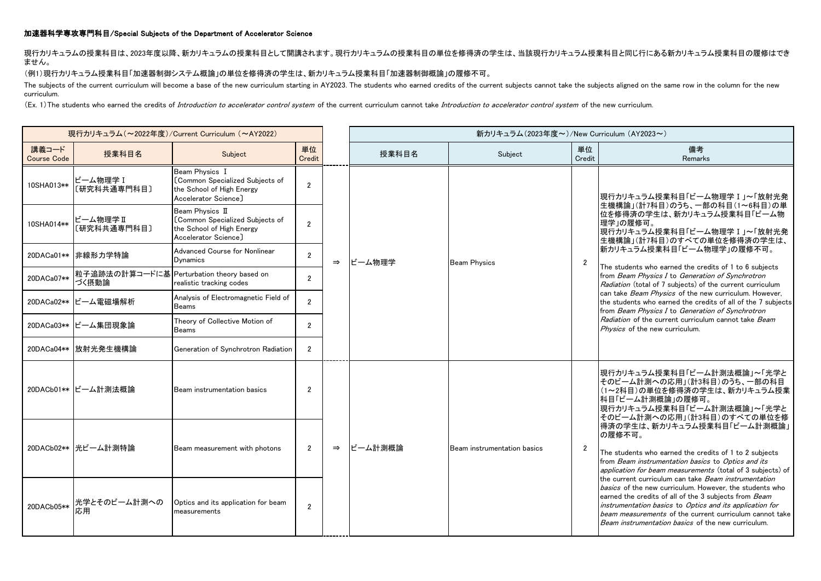## 加速器科学専攻専門科目/Special Subjects of the Department of Accelerator Science

現行カリキュラムの授業科目は、2023年度以降、新カリキュラムの授業科目として開講されます。現行カリキュラムの授業科目の単位を修得済の学生は、当該現行カリキュラム授業科目と同じ行にある新カリキュラム授業科目の履修はでき ません。

## (例1)現行カリキュラム授業科目「加速器制御システム概論」の単位を修得済の学生は、新カリキュラム授業科目「加速器制御概論」の履修不可。

The subjects of the current curriculum will become a base of the new curriculum starting in AY2023. The students who earned credits of the current subjects cannot take the subjects aligned on the same row in the column for curriculum.

(Ex. 1) The students who earned the credits of Introduction to accelerator control system of the current curriculum cannot take Introduction to accelerator control system of the new curriculum.

| 現行カリキュラム (~2022年度)/Current Curriculum (~AY2022) |                         |                                                                                                         |                |               |         | 新カリキュラム(2023年度~)/New Curriculum (AY2023~) |                |                                                                                                                                                                                                                                                                                                                                                                                                                                                                                                                                                                                                                                                                          |
|-------------------------------------------------|-------------------------|---------------------------------------------------------------------------------------------------------|----------------|---------------|---------|-------------------------------------------|----------------|--------------------------------------------------------------------------------------------------------------------------------------------------------------------------------------------------------------------------------------------------------------------------------------------------------------------------------------------------------------------------------------------------------------------------------------------------------------------------------------------------------------------------------------------------------------------------------------------------------------------------------------------------------------------------|
| 講義コード<br><b>Course Code</b>                     | 授業科目名                   | Subject                                                                                                 | 単位<br>Credit   |               | 授業科目名   | Subject                                   | 単位<br>Credit   | 備考<br>Remarks                                                                                                                                                                                                                                                                                                                                                                                                                                                                                                                                                                                                                                                            |
| 10SHA013**                                      | ビーム物理学 I<br>〔研究科共通専門科目〕 | Beam Physics I<br>[Common Specialized Subjects of<br>the School of High Energy<br>Accelerator Science]  | $\overline{2}$ |               |         | <b>Beam Physics</b>                       | $\overline{2}$ | 現行カリキュラム授業科目「ビーム物理学 I 」~「放射光発<br>生機構論」(計7科目)のうち、一部の科目(1~6科目)の単<br>はを修得済の学生は、新カリキュラム授業科目「ビーム物<br>理学」の履修可。<br> 現行カリキュラム授業科目「ビーム物理学 I 」~「放射光発<br> 生機構論」(計7科目)のすべての単位を修得済の学生は、<br>おカリキュラム授業科目「ビーム物理学」の履修不可。<br>The students who earned the credits of 1 to 6 subjects<br>from Beam Physics I to Generation of Synchrotron<br>Radiation (total of 7 subjects) of the current curriculum<br>Ican take <i>Beam Physics</i> of the new curriculum. However.<br>the students who earned the credits of all of the 7 subjects<br>from Beam Physics I to Generation of Synchrotron<br>Radiation of the current curriculum cannot take Beam<br><i>Physics</i> of the new curriculum. |
| 10SHA014**                                      | ビーム物理学Ⅱ<br>〔研究科共通専門科目〕  | Beam Physics II<br>[Common Specialized Subjects of<br>the School of High Energy<br>Accelerator Science] | $\overline{2}$ |               |         |                                           |                |                                                                                                                                                                                                                                                                                                                                                                                                                                                                                                                                                                                                                                                                          |
|                                                 | 20DACa01** 非線形力学特論      | <b>Advanced Course for Nonlinear</b><br><b>D</b> vnamics                                                | $\overline{2}$ | $\Rightarrow$ | ビーム物理学  |                                           |                |                                                                                                                                                                                                                                                                                                                                                                                                                                                                                                                                                                                                                                                                          |
| 20DACa07**                                      | づく摂動論                   | 粒子追跡法の計算コードに基 Perturbation theory based on<br>realistic tracking codes                                  | $\overline{2}$ |               |         |                                           |                |                                                                                                                                                                                                                                                                                                                                                                                                                                                                                                                                                                                                                                                                          |
|                                                 | 20DACa02** ビーム電磁場解析     | Analysis of Electromagnetic Field of<br><b>Beams</b>                                                    | $\mathbf{2}$   |               |         |                                           |                |                                                                                                                                                                                                                                                                                                                                                                                                                                                                                                                                                                                                                                                                          |
|                                                 | 20DACa03** ビーム集団現象論     | Theory of Collective Motion of<br><b>Beams</b>                                                          | $\overline{2}$ |               |         |                                           |                |                                                                                                                                                                                                                                                                                                                                                                                                                                                                                                                                                                                                                                                                          |
|                                                 | 20DACa04**   放射光発生機構論   | Generation of Synchrotron Radiation                                                                     | $\overline{2}$ |               |         |                                           |                |                                                                                                                                                                                                                                                                                                                                                                                                                                                                                                                                                                                                                                                                          |
|                                                 | 20DACb01** ビーム計測法概論     | Beam instrumentation basics                                                                             | $\overline{2}$ |               | ビーム計測概論 | Beam instrumentation basics               |                | 現行カリキュラム授業科目「ビーム計測法概論」~「光学と<br>そのビーム計測への応用」(計3科目)のうち、一部の科目<br>(1~2科目)の単位を修得済の学生は、新カリキュラム授業<br>科目「ビーム計測概論」の履修可。<br> 現行カリキュラム授業科目「ビーム計測法概論」~「光学と<br> そのビーム計測への応用」(計3科目)のすべての単位を修                                                                                                                                                                                                                                                                                                                                                                                                                                                                                           |
|                                                 | 20DACb02** 光ビーム計測特論     | Beam measurement with photons                                                                           | $\overline{2}$ | $\Rightarrow$ |         |                                           | $\overline{2}$ | 得済の学生は、新カリキュラム授業科目「ビーム計測概論」<br>の履修不可。<br>The students who earned the credits of 1 to 2 subjects<br>from Beam instrumentation basics to Optics and its<br>application for beam measurements (total of 3 subjects) of                                                                                                                                                                                                                                                                                                                                                                                                                                                      |
| 20DACb05**                                      | 光学とそのビーム計測への<br>応用      | Optics and its application for beam<br>measurements                                                     | $\overline{2}$ |               |         |                                           |                | the current curriculum can take <i>Beam instrumentation</i><br>basics of the new curriculum. However, the students who<br>earned the credits of all of the 3 subjects from Beam<br>instrumentation basics to Optics and its application for<br>beam measurements of the current curriculum cannot take<br>Beam instrumentation basics of the new curriculum.                                                                                                                                                                                                                                                                                                             |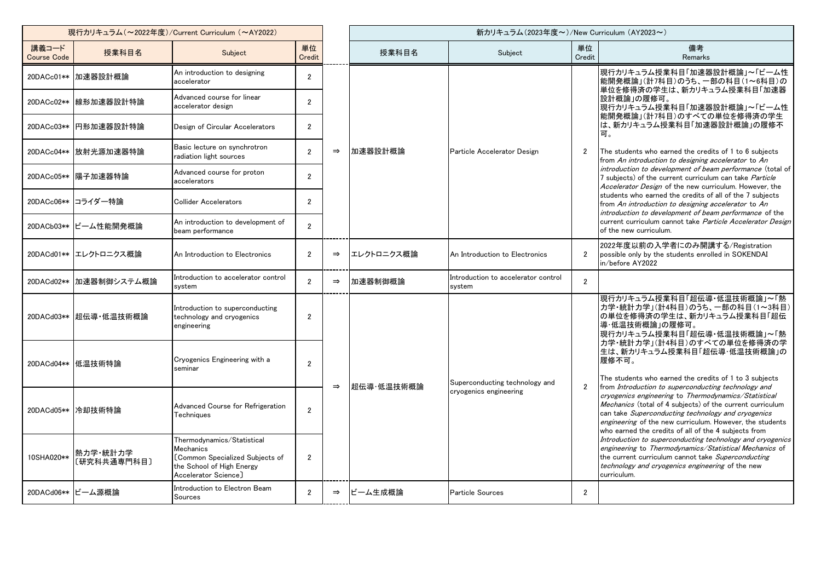| 現行カリキュラム (~2022年度)/Current Curriculum (~AY2022) |                              |                                                                                                                                 |                  |               |            | 新カリキュラム (2023年度~)/New Curriculum (AY2023~)               |                |                                                                                                                                                                                                                                                                                                                                                    |  |
|-------------------------------------------------|------------------------------|---------------------------------------------------------------------------------------------------------------------------------|------------------|---------------|------------|----------------------------------------------------------|----------------|----------------------------------------------------------------------------------------------------------------------------------------------------------------------------------------------------------------------------------------------------------------------------------------------------------------------------------------------------|--|
| 講義コード<br><b>Course Code</b>                     | 授業科目名                        | Subject                                                                                                                         | 単位<br>Credit     |               | 授業科目名      | Subject                                                  | 単位<br>Credit   | 備考<br>Remarks                                                                                                                                                                                                                                                                                                                                      |  |
|                                                 | 20DACc01** 加速器設計概論           | An introduction to designing<br>accelerator                                                                                     | $\overline{2}$   |               |            | Particle Accelerator Design                              | $\overline{2}$ | 現行カリキュラム授業科目「加速器設計概論」~「ビーム性<br>能開発概論」(計7科目)のうち、一部の科目(1~6科目)の                                                                                                                                                                                                                                                                                       |  |
|                                                 | 20DACc02**  線形加速器設計特論        | Advanced course for linear<br>accelerator design                                                                                | $\overline{2}$   |               |            |                                                          |                | 単位を修得済の学生は、新カリキュラム授業科目「加速器<br>設計概論」の履修可。<br>現行カリキュラム授業科目「加速器設計概論」~「ビーム性                                                                                                                                                                                                                                                                            |  |
|                                                 | 20DACc03**  円形加速器設計特論        | Design of Circular Accelerators                                                                                                 | 2                |               |            |                                                          |                | 能開発概論」(計7科目)のすべての単位を修得済の学生<br>は、新カリキュラム授業科目「加速器設計概論」の履修不<br>可。                                                                                                                                                                                                                                                                                     |  |
|                                                 | 20DACc04**   放射光源加速器特論       | Basic lecture on synchrotron<br>radiation light sources                                                                         | $\overline{2}$   | $\Rightarrow$ | 加速器設計概論    |                                                          |                | The students who earned the credits of 1 to 6 subjects<br>from An introduction to designing accelerator to An                                                                                                                                                                                                                                      |  |
|                                                 | 20DACc05** 陽子加速器特論           | Advanced course for proton<br>accelerators                                                                                      | $\overline{2}$   |               |            |                                                          |                | introduction to development of beam performance (total of<br>7 subjects) of the current curriculum can take Particle<br>Accelerator Design of the new curriculum. However, the                                                                                                                                                                     |  |
|                                                 | 20DACc06** コライダー特論           | <b>Collider Accelerators</b>                                                                                                    | $\mathfrak{p}$   |               |            |                                                          |                | students who earned the credits of all of the 7 subjects<br>from An introduction to designing accelerator to An<br>introduction to development of beam performance of the                                                                                                                                                                          |  |
|                                                 | 20DACb03** ビーム性能開発概論         | An introduction to development of<br>beam performance                                                                           | $\overline{2}$   |               |            |                                                          |                | current curriculum cannot take Particle Accelerator Design<br>of the new curriculum.                                                                                                                                                                                                                                                               |  |
|                                                 | 20DACd01** エレクトロニクス概論        | An Introduction to Electronics                                                                                                  | $\overline{2}$   | $\Rightarrow$ | エレクトロニクス概論 | An Introduction to Electronics                           | $\overline{2}$ | 2022年度以前の入学者にのみ開講する/Registration<br>possible only by the students enrolled in SOKENDAI<br>in/before AY2022                                                                                                                                                                                                                                         |  |
|                                                 | 20DACd02** 加速器制御システム概論       | Introduction to accelerator control<br>system                                                                                   | $\overline{2}$   | $\Rightarrow$ | 加速器制御概論    | Introduction to accelerator control<br>system            | $\overline{2}$ |                                                                                                                                                                                                                                                                                                                                                    |  |
|                                                 | 20DACd03** 超伝導・低温技術概論        | Introduction to superconducting<br>technology and cryogenics<br>engineering                                                     | $\overline{2}$   |               |            |                                                          |                | 現行カリキュラム授業科目「超伝導・低温技術概論」~「熱<br>カ学・統計力学」(計4科目)のうち、一部の科目(1~3科目)<br>の単位を修得済の学生は、新カリキュラム授業科目「超伝<br>導·低温技術概論」の履修可。<br> 現行カリキュラム授業科目「超伝導・低温技術概論」~「熱                                                                                                                                                                                                      |  |
|                                                 | 20DACd04** 低温技術特論            | Cryogenics Engineering with a<br>seminar                                                                                        | $\overline{2}$   |               |            |                                                          |                | カ学・統計カ学」(計4科目)のすべての単位を修得済の学<br>生は、新カリキュラム授業科目「超伝導・低温技術概論」の<br>履修不可。<br>The students who earned the credits of 1 to 3 subjects                                                                                                                                                                                                                      |  |
|                                                 | 20DACd05** 冷却技術特論            | Advanced Course for Refrigeration<br>Techniques                                                                                 | $\boldsymbol{2}$ | $\Rightarrow$ | 超伝導·低温技術概論 | Superconducting technology and<br>cryogenics engineering | $\overline{2}$ | from Introduction to superconducting technology and<br>cryogenics engineering to Thermodynamics/Statistical<br>Mechanics (total of 4 subjects) of the current curriculum<br>can take Superconducting technology and cryogenics<br>engineering of the new curriculum. However, the students<br>who earned the credits of all of the 4 subjects from |  |
| 10SHA020**                                      | 熱力学・統計力学<br>。<br>〔研究科共通専門科目〕 | Thermodynamics/Statistical<br>Mechanics<br>[Common Specialized Subjects of<br>the School of High Energy<br>Accelerator Science] | $\overline{2}$   |               |            |                                                          |                | Introduction to superconducting technology and cryogenics<br>engineering to Thermodynamics/Statistical Mechanics of<br>the current curriculum cannot take Superconducting<br>technology and cryogenics engineering of the new<br>curriculum.                                                                                                       |  |
|                                                 | 20DACd06** ビーム源概論            | Introduction to Electron Beam<br>Sources                                                                                        | $\overline{2}$   | $\Rightarrow$ | ビーム生成概論    | Particle Sources                                         | $\overline{2}$ |                                                                                                                                                                                                                                                                                                                                                    |  |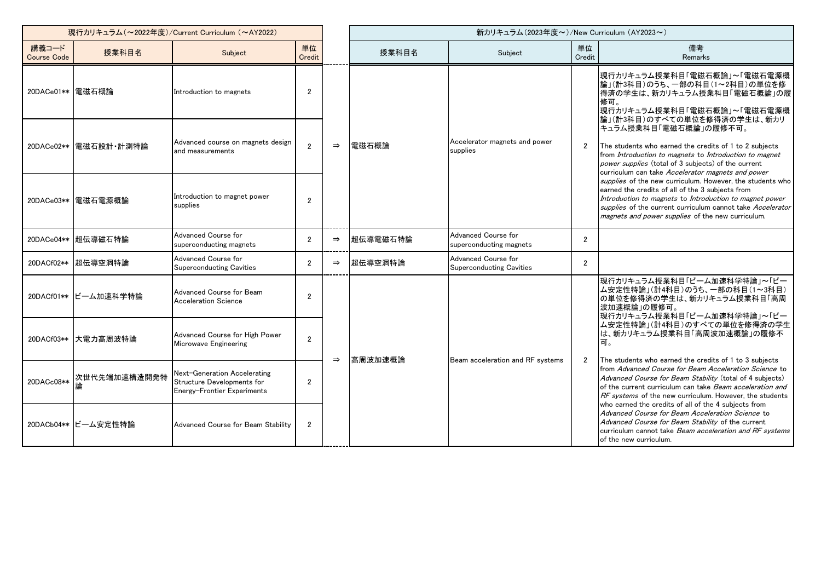| 現行カリキュラム (~2022年度)/Current Curriculum (~AY2022) |                       |                                                                                           |                |               |          | 新カリキュラム(2023年度~)/New Curriculum (AY2023~)              |                |                                                                                                                                                                                                                                                                                                    |  |
|-------------------------------------------------|-----------------------|-------------------------------------------------------------------------------------------|----------------|---------------|----------|--------------------------------------------------------|----------------|----------------------------------------------------------------------------------------------------------------------------------------------------------------------------------------------------------------------------------------------------------------------------------------------------|--|
| 講義コード<br><b>Course Code</b>                     | 授業科目名                 | Subject                                                                                   | 単位<br>Credit   |               | 授業科目名    | Subject                                                | 単位<br>Credit   | 備考<br><b>Remarks</b>                                                                                                                                                                                                                                                                               |  |
| 20DACe01** 電磁石概論                                |                       | Introduction to magnets                                                                   | $\overline{2}$ |               |          |                                                        |                | 現行カリキュラム授業科目「電磁石概論」~「電磁石電源概<br> 論」(計3科目)のうち、一部の科目(1~2科目)の単位を修<br>得済の学生は、新カリキュラム授業科目「電磁石概論」の履<br>修可。<br>現行カリキュラム授業科目「電磁石概論」~「電磁石電源概<br> 論」(計3科目)のすべての単位を修得済の学生は、新カリ                                                                                                                                 |  |
|                                                 | 20DACe02** 電磁石設計·計測特論 | Advanced course on magnets design<br>and measurements                                     | $\overline{2}$ | $\Rightarrow$ | 電磁石概論    | Accelerator magnets and power<br>supplies              | $\overline{2}$ | キュラム授業科目「電磁石概論」の履修不可。<br>The students who earned the credits of 1 to 2 subjects<br>from Introduction to magnets to Introduction to magnet<br>power supplies (total of 3 subjects) of the current<br>curriculum can take Accelerator magnets and power                                              |  |
|                                                 | 20DACe03** 電磁石電源概論    | Introduction to magnet power<br>supplies                                                  | $\overline{2}$ |               |          |                                                        |                | supplies of the new curriculum. However, the students who<br>earned the credits of all of the 3 subjects from<br>Introduction to magnets to Introduction to magnet power<br>supplies of the current curriculum cannot take Accelerator<br>magnets and power supplies of the new curriculum.        |  |
|                                                 | 20DACe04** 超伝導磁石特論    | Advanced Course for<br>superconducting magnets                                            | 2              | $\Rightarrow$ | 超伝導電磁石特論 | Advanced Course for<br>superconducting magnets         | $\overline{2}$ |                                                                                                                                                                                                                                                                                                    |  |
| 20DACf02**                                      | 超伝導空洞特論               | Advanced Course for<br><b>Superconducting Cavities</b>                                    | $\overline{2}$ | $\Rightarrow$ | 超伝導空洞特論  | Advanced Course for<br><b>Superconducting Cavities</b> | $\overline{2}$ |                                                                                                                                                                                                                                                                                                    |  |
|                                                 | 20DACf01** ビーム加速科学特論  | Advanced Course for Beam<br><b>Acceleration Science</b>                                   | $\overline{2}$ |               |          |                                                        |                | 現行カリキュラム授業科目「ビーム加速科学特論」~「ビー<br>ム安定性特論」(計4科目)のうち、一部の科目(1~3科目)<br>の単位を修得済の学生は、新カリキュラム授業科目「高周<br>波加速概論」の履修可。<br> 現行カリキュラム授業科目「ビーム加速科学特論」~「ビー                                                                                                                                                          |  |
|                                                 | 20DACf03** 大電力高周波特論   | Advanced Course for High Power<br>Microwave Engineering                                   | $\mathfrak{p}$ |               | 高周波加速概論  | Beam acceleration and RF systems                       | 2              | ム安定性特論」(計4科目)のすべての単位を修得済の学生<br>は、新カリキュラム授業科目「高周波加速概論」の履修不<br>可。                                                                                                                                                                                                                                    |  |
| 20DACc08**                                      | 次世代先端加速構造開発特          | Next-Generation Accelerating<br>Structure Developments for<br>Energy-Frontier Experiments | $\overline{2}$ | $\Rightarrow$ |          |                                                        |                | The students who earned the credits of 1 to 3 subjects<br>from Advanced Course for Beam Acceleration Science to<br>Advanced Course for Beam Stability (total of 4 subjects)<br>of the current curriculum can take Beam acceleration and<br>RF systems of the new curriculum. However, the students |  |
|                                                 | 20DACb04** ビーム安定性特論   | Advanced Course for Beam Stability                                                        | $\overline{2}$ |               |          |                                                        |                | who earned the credits of all of the 4 subjects from<br>Advanced Course for Beam Acceleration Science to<br>Advanced Course for Beam Stability of the current<br>curriculum cannot take Beam acceleration and RF systems<br>of the new curriculum.                                                 |  |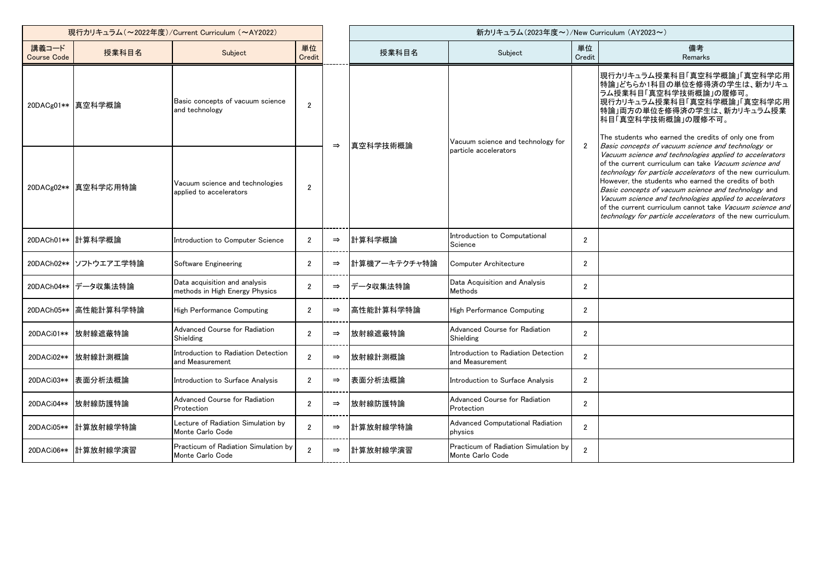| 現行カリキュラム (~2022年度)/Current Curriculum (~AY2022) |                        |                                                                 |                |               |              | 新カリキュラム(2023年度~)/New Curriculum (AY2023~)                |                |                                                                                                                                                                                                                                                                                                                                                                                                                                                                                             |  |  |
|-------------------------------------------------|------------------------|-----------------------------------------------------------------|----------------|---------------|--------------|----------------------------------------------------------|----------------|---------------------------------------------------------------------------------------------------------------------------------------------------------------------------------------------------------------------------------------------------------------------------------------------------------------------------------------------------------------------------------------------------------------------------------------------------------------------------------------------|--|--|
| 講義コード<br><b>Course Code</b>                     | 授業科目名                  | Subject                                                         | 単位<br>Credit   |               | 授業科目名        | Subject                                                  | 単位<br>Credit   | 備考<br>Remarks                                                                                                                                                                                                                                                                                                                                                                                                                                                                               |  |  |
|                                                 | 20DACg01** 真空科学概論      | Basic concepts of vacuum science<br>and technology              | $\overline{2}$ | $\Rightarrow$ | 真空科学技術概論     | Vacuum science and technology for                        | $\overline{2}$ | 現行カリキュラム授業科目「真空科学概論」「真空科学応用<br>特論」どちらか1科目の単位を修得済の学生は、新カリキュ<br>「ラム授業科目「真空科学技術概論」の履修可。<br>明行カリキュラム授業科目「真空科学概論」「真空科学応用<br>特論」両方の単位を修得済の学生は、新カリキュラム授業<br>科目「真空科学技術概論」の履修不可。<br>The students who earned the credits of only one from<br>Basic concepts of vacuum science and technology or                                                                                                                                                                                                       |  |  |
|                                                 | 20DACg02**  真空科学応用特論   | Vacuum science and technologies<br>applied to accelerators      | $\overline{2}$ |               |              | particle accelerators                                    |                | Vacuum science and technologies applied to accelerators<br>of the current curriculum can take Vacuum science and<br><i>technology for particle accelerators</i> of the new curriculum.<br>However, the students who earned the credits of both<br>Basic concepts of vacuum science and technology and<br>Vacuum science and technologies applied to accelerators<br>of the current curriculum cannot take Vacuum science and<br>technology for particle accelerators of the new curriculum. |  |  |
|                                                 | 20DACh01** 計算科学概論      | Introduction to Computer Science                                | $\overline{2}$ | $\Rightarrow$ | 計算科学概論       | Introduction to Computational<br>Science                 | $\overline{2}$ |                                                                                                                                                                                                                                                                                                                                                                                                                                                                                             |  |  |
|                                                 | 20DACh02**  ソフトウエアエ学特論 | Software Engineering                                            | $\overline{2}$ | $\Rightarrow$ | 計算機アーキテクチャ特論 | <b>Computer Architecture</b>                             | $\overline{2}$ |                                                                                                                                                                                                                                                                                                                                                                                                                                                                                             |  |  |
|                                                 | 20DACh04** データ収集法特論    | Data acquisition and analysis<br>methods in High Energy Physics | $\overline{2}$ | $\Rightarrow$ | データ収集法特論     | Data Acquisition and Analysis<br>Methods                 | $\overline{2}$ |                                                                                                                                                                                                                                                                                                                                                                                                                                                                                             |  |  |
|                                                 | 20DACh05** 高性能計算科学特論   | High Performance Computing                                      | $\overline{2}$ | $\Rightarrow$ | 高性能計算科学特論    | High Performance Computing                               | $\overline{2}$ |                                                                                                                                                                                                                                                                                                                                                                                                                                                                                             |  |  |
|                                                 | 20DACi01**   放射線遮蔽特論   | Advanced Course for Radiation<br>Shielding                      | $\overline{2}$ | $\Rightarrow$ | 放射線遮蔽特論      | Advanced Course for Radiation<br>Shielding               | $\overline{2}$ |                                                                                                                                                                                                                                                                                                                                                                                                                                                                                             |  |  |
|                                                 | 20DACi02**丨放射線計測概論     | Introduction to Radiation Detection<br>and Measurement          | $\overline{2}$ | $\Rightarrow$ | 放射線計測概論      | Introduction to Radiation Detection<br>and Measurement   | $\overline{2}$ |                                                                                                                                                                                                                                                                                                                                                                                                                                                                                             |  |  |
|                                                 | 20DACi03**  表面分析法概論    | Introduction to Surface Analysis                                | $\overline{2}$ | $\Rightarrow$ | 表面分析法概論      | Introduction to Surface Analysis                         | $\overline{2}$ |                                                                                                                                                                                                                                                                                                                                                                                                                                                                                             |  |  |
|                                                 | 20DACi04**  放射線防護特論    | Advanced Course for Radiation<br>Protection                     | $\overline{2}$ | $\Rightarrow$ | 放射線防護特論      | Advanced Course for Radiation<br>Protection              | $\overline{2}$ |                                                                                                                                                                                                                                                                                                                                                                                                                                                                                             |  |  |
|                                                 | 20DACi05** 計算放射線学特論    | Lecture of Radiation Simulation by<br>Monte Carlo Code          | $\overline{2}$ | $\Rightarrow$ | 計算放射線学特論     | Advanced Computational Radiation<br>physics              | $\overline{2}$ |                                                                                                                                                                                                                                                                                                                                                                                                                                                                                             |  |  |
|                                                 | 20DACi06** 計算放射線学演習    | Practicum of Radiation Simulation by<br>Monte Carlo Code        | $\mathfrak{p}$ | $\Rightarrow$ | 計算放射線学演習     | Practicum of Radiation Simulation by<br>Monte Carlo Code | $\overline{2}$ |                                                                                                                                                                                                                                                                                                                                                                                                                                                                                             |  |  |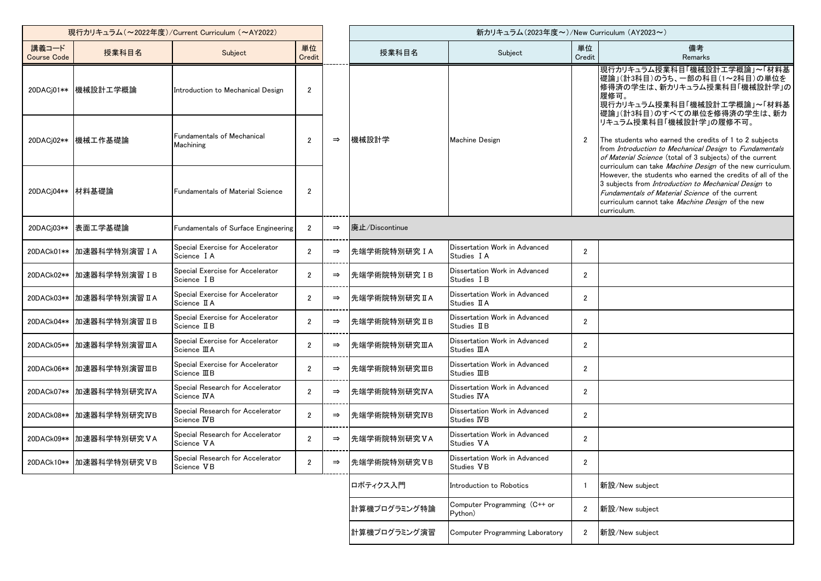| 現行カリキュラム (~2022年度)/Current Curriculum (~AY2022) |                            |                                                          |                |               |                | 新カリキュラム (2023年度~)/New Curriculum (AY2023~)            |                |                                                                                                                                                                                                                                                                     |  |
|-------------------------------------------------|----------------------------|----------------------------------------------------------|----------------|---------------|----------------|-------------------------------------------------------|----------------|---------------------------------------------------------------------------------------------------------------------------------------------------------------------------------------------------------------------------------------------------------------------|--|
| 講義コード<br><b>Course Code</b>                     | 授業科目名                      | Subject                                                  | 単位<br>Credit   |               | 授業科目名          | Subject                                               | 単位<br>Credit   | 備考<br>Remarks                                                                                                                                                                                                                                                       |  |
|                                                 | 20DACj01**  機械設計工学概論       | Introduction to Mechanical Design                        | $\overline{2}$ |               |                |                                                       |                | 現行カリキュラム授業科目「機械設計工学概論」~「材料基<br> 礎論」(計3科目)のうち、一部の科目(1~2科目)の単位を<br>修得済の学生は、新カリキュラム授業科目「機械設計学」の<br>履修可。<br> 現行カリキュラム授業科目「機械設計工学概論」~「材料基<br> 礎論」(計3科目)のすべての単位を修得済の学生は、新カ                                                                                                |  |
|                                                 | 20DACj02** 機械工作基礎論         | Fundamentals of Mechanical<br>Machining                  | $\overline{2}$ | $\Rightarrow$ | 機械設計学          | <b>Machine Design</b>                                 | $\overline{2}$ | リキュラム授業科目「機械設計学」の履修不可。<br>The students who earned the credits of 1 to 2 subjects<br>from Introduction to Mechanical Design to Fundamentals<br>of Material Science (total of 3 subjects) of the current<br>curriculum can take Machine Design of the new curriculum. |  |
| 20DACj04** 材料基礎論                                |                            | Fundamentals of Material Science                         | $\overline{2}$ |               |                |                                                       |                | However, the students who earned the credits of all of the<br>3 subjects from Introduction to Mechanical Design to<br>Fundamentals of Material Science of the current<br>curriculum cannot take Machine Design of the new<br>curriculum.                            |  |
|                                                 | 20DACj03**  表面工学基礎論        | Fundamentals of Surface Engineering                      | 2              | $\Rightarrow$ | 廃止/Discontinue |                                                       |                |                                                                                                                                                                                                                                                                     |  |
|                                                 | 20DACk01** 加速器科学特別演習 IA    | Special Exercise for Accelerator<br>Science TA           | $\overline{2}$ | $\Rightarrow$ | 先端学術院特別研究 I A  | Dissertation Work in Advanced<br>Studies I A          | $\overline{2}$ |                                                                                                                                                                                                                                                                     |  |
|                                                 | 20DACk02** 加速器科学特別演習 IB    | Special Exercise for Accelerator<br>Science IB           | $\overline{2}$ | $\Rightarrow$ | 先端学術院特別研究 IB   | Dissertation Work in Advanced<br>Studies I B          | $\overline{2}$ |                                                                                                                                                                                                                                                                     |  |
|                                                 | 20DACk03** 加速器科学特別演習 II A  | Special Exercise for Accelerator<br>Science II A         | $\overline{2}$ | $\Rightarrow$ | 先端学術院特別研究ⅡA    | Dissertation Work in Advanced<br>Studies II A         | $\overline{2}$ |                                                                                                                                                                                                                                                                     |  |
|                                                 | 20DACk04**  加速器科学特別演習 II B | Special Exercise for Accelerator<br>Science II B         | $\overline{2}$ | $\Rightarrow$ | 先端学術院特別研究 IIB  | Dissertation Work in Advanced<br>Studies II B         | $\overline{2}$ |                                                                                                                                                                                                                                                                     |  |
|                                                 | 20DACk05** 加速器科学特別演習ⅢA     | Special Exercise for Accelerator<br>Science <b>III</b> A | $\overline{2}$ | $\Rightarrow$ | 先端学術院特別研究ⅢA    | Dissertation Work in Advanced<br>Studies <b>III</b> A | $\overline{2}$ |                                                                                                                                                                                                                                                                     |  |
|                                                 | 20DACk06** 加速器科学特別演習ⅢB     | Special Exercise for Accelerator<br>Science IIIB         | $\overline{2}$ | $\Rightarrow$ | 先端学術院特別研究ⅢB    | Dissertation Work in Advanced<br>Studies <b>III</b> B | $\overline{2}$ |                                                                                                                                                                                                                                                                     |  |
|                                                 | 20DACk07** 加速器科学特別研究IVA    | Special Research for Accelerator<br>Science IVA          | $\overline{2}$ | $\Rightarrow$ | 先端学術院特別研究IVA   | Dissertation Work in Advanced<br>Studies IVA          | $\overline{2}$ |                                                                                                                                                                                                                                                                     |  |
|                                                 | 20DACk08** 加速器科学特別研究IVB    | Special Research for Accelerator<br>Science IVB          | 2              | $\Rightarrow$ | 先端学術院特別研究IVB   | Dissertation Work in Advanced<br>Studies IVB          | $\overline{2}$ |                                                                                                                                                                                                                                                                     |  |
|                                                 | 20DACk09** 加速器科学特別研究VA     | Special Research for Accelerator<br>Science VA           | $\overline{2}$ | $\Rightarrow$ | 先端学術院特別研究VA    | Dissertation Work in Advanced<br>Studies VA           | $\overline{2}$ |                                                                                                                                                                                                                                                                     |  |
|                                                 | 20DACk10** 加速器科学特別研究VB     | Special Research for Accelerator<br>Science VB           | $\overline{2}$ | $\Rightarrow$ | 先端学術院特別研究VB    | Dissertation Work in Advanced<br>Studies VB           | $\overline{2}$ |                                                                                                                                                                                                                                                                     |  |
|                                                 |                            |                                                          |                |               | ロボティクス入門       | Introduction to Robotics                              |                | 新設/New subject                                                                                                                                                                                                                                                      |  |
|                                                 |                            |                                                          |                |               | 計算機プログラミング特論   | Computer Programming (C++ or<br>Python)               | $\overline{2}$ | 新設/New subject                                                                                                                                                                                                                                                      |  |
|                                                 |                            |                                                          |                |               | 計算機プログラミング演習   | <b>Computer Programming Laboratory</b>                | $\overline{2}$ | 新設/New subject                                                                                                                                                                                                                                                      |  |